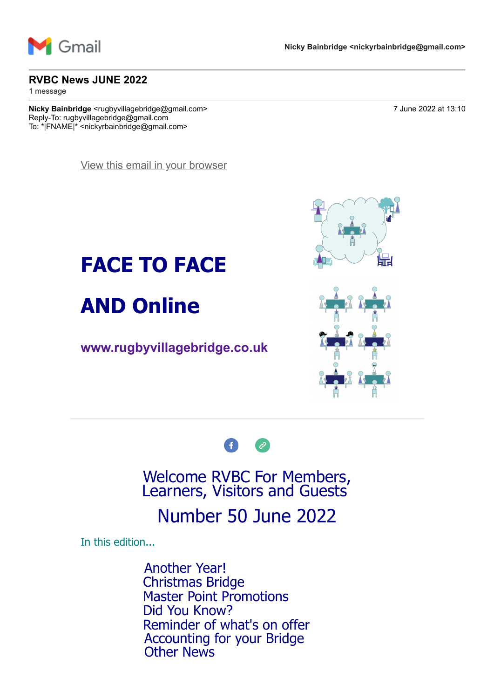

#### **RVBC News JUNE 2022**

1 message

**Nicky Bainbridge** <rugbyvillagebridge@gmail.com> 7 June 2022 at 13:10 Reply-To: rugbyvillagebridge@gmail.com To: \*|FNAME|\* <nickyrbainbridge@gmail.com>

[View this email in your browser](https://mailchi.mp/9211143aba51/rvbc-news-april-13659541?e=7736085cbd)





#### **[www.rugbyvillagebridge.co.uk](http://www.rugbyvillagebridge.co.uk/)**





#### Welcome RVBC For Members, Learners, Visitors and Guests

## Number 50 June 2022

In this edition...

Another Year! Christmas Bridge Master Point Promotions Did You Know? Reminder of what's on offer Accounting for your Bridge Other News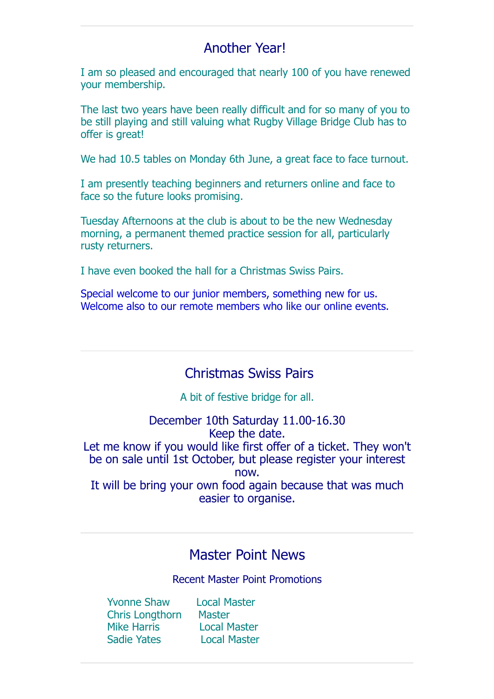#### Another Year!

I am so pleased and encouraged that nearly 100 of you have renewed your membership.

The last two years have been really difficult and for so many of you to be still playing and still valuing what Rugby Village Bridge Club has to offer is great!

We had 10.5 tables on Monday 6th June, a great face to face turnout.

I am presently teaching beginners and returners online and face to face so the future looks promising.

Tuesday Afternoons at the club is about to be the new Wednesday morning, a permanent themed practice session for all, particularly rusty returners.

I have even booked the hall for a Christmas Swiss Pairs.

Special welcome to our junior members, something new for us. Welcome also to our remote members who like our online events.

#### Christmas Swiss Pairs

A bit of festive bridge for all.

December 10th Saturday 11.00-16.30 Keep the date. Let me know if you would like first offer of a ticket. They won't be on sale until 1st October, but please register your interest now. It will be bring your own food again because that was much easier to organise.

#### Master Point News

Recent Master Point Promotions

 Yvonne Shaw Local Master Chris Longthorn Master Mike Harris Local Master Sadie Yates Local Master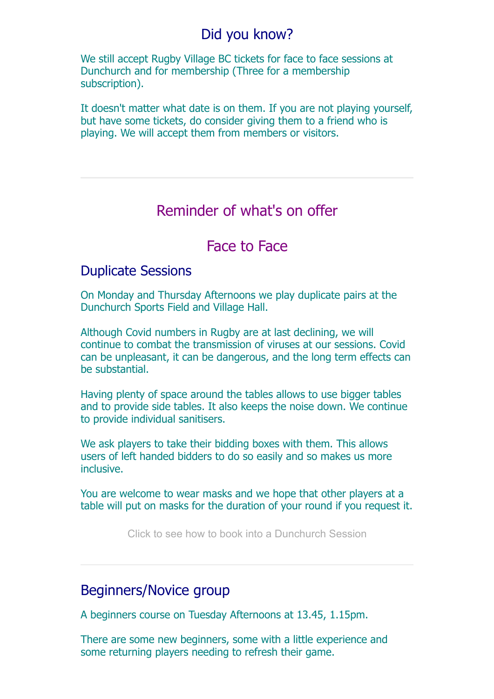#### Did you know?

We still accept Rugby Village BC tickets for face to face sessions at Dunchurch and for membership (Three for a membership subscription).

It doesn't matter what date is on them. If you are not playing yourself, but have some tickets, do consider giving them to a friend who is playing. We will accept them from members or visitors.

### Reminder of what's on offer

#### Face to Face

#### Duplicate Sessions

On Monday and Thursday Afternoons we play duplicate pairs at the Dunchurch Sports Field and Village Hall.

Although Covid numbers in Rugby are at last declining, we will continue to combat the transmission of viruses at our sessions. Covid can be unpleasant, it can be dangerous, and the long term effects can be substantial.

Having plenty of space around the tables allows to use bigger tables and to provide side tables. It also keeps the noise down. We continue to provide individual sanitisers.

We ask players to take their bidding boxes with them. This allows users of left handed bidders to do so easily and so makes us more inclusive.

You are welcome to wear masks and we hope that other players at a table will put on masks for the duration of your round if you request it.

[Click to see how to book into a Dunchurch Session](https://rugbyvillagebridge.us16.list-manage.com/track/click?u=5ca90c1560213b9616359b892&id=240e66306a&e=7736085cbd)

#### Beginners/Novice group

A beginners course on Tuesday Afternoons at 13.45, 1.15pm.

There are some new beginners, some with a little experience and some returning players needing to refresh their game.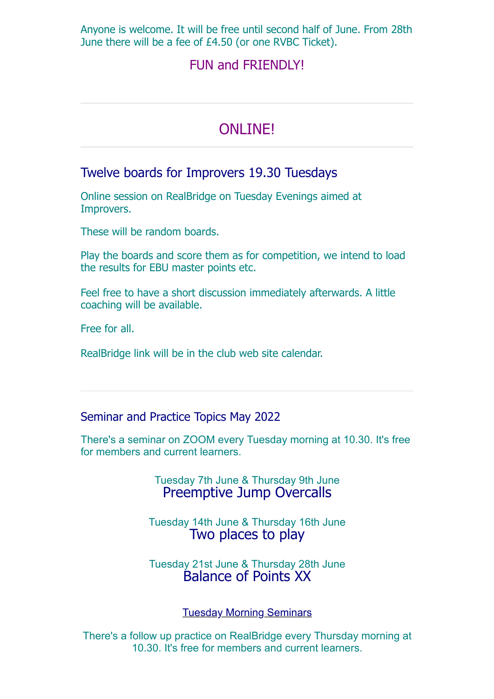Anyone is welcome. It will be free until second half of June. From 28th June there will be a fee of £4.50 (or one RVBC Ticket).

#### FUN and FRIENDLY!

## ONLINE!

#### Twelve boards for Improvers 19.30 Tuesdays

Online session on RealBridge on Tuesday Evenings aimed at Improvers.

These will be random boards.

Play the boards and score them as for competition, we intend to load the results for EBU master points etc.

Feel free to have a short discussion immediately afterwards. A little coaching will be available.

Free for all.

RealBridge link will be in the club web site calendar.

Seminar and Practice Topics May 2022

There's a seminar on ZOOM every Tuesday morning at 10.30. It's free for members and current learners.

> Tuesday 7th June & Thursday 9th June Preemptive Jump Overcalls

Tuesday 14th June & Thursday 16th June Two places to play

Tuesday 21st June & Thursday 28th June Balance of Points XX

[Tuesday Morning Seminars](https://rugbyvillagebridge.us16.list-manage.com/track/click?u=5ca90c1560213b9616359b892&id=e9dc0fc964&e=7736085cbd)

There's a follow up practice on RealBridge every Thursday morning at 10.30. It's free for members and current learners.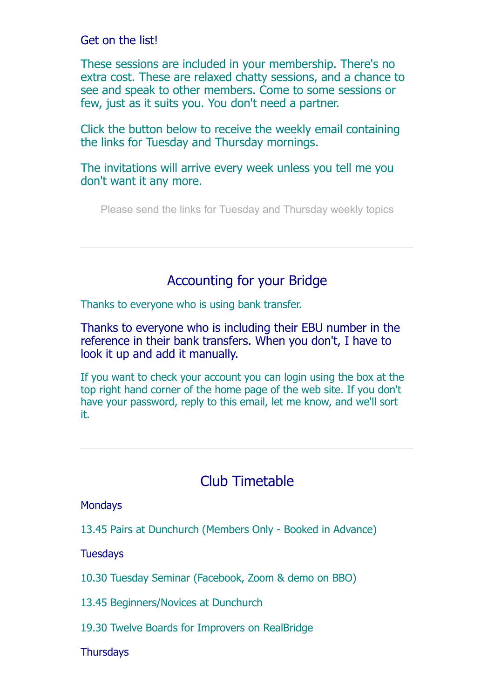Get on the list!

These sessions are included in your membership. There's no extra cost. These are relaxed chatty sessions, and a chance to see and speak to other members. Come to some sessions or few, just as it suits you. You don't need a partner.

Click the button below to receive the weekly email containing the links for Tuesday and Thursday mornings.

The invitations will arrive every week unless you tell me you don't want it any more.

[Please send the links for Tuesday and Thursday weekly topics](mailto:rugbyvillagebridge@gmail.com?subject=Please%20put%20me%20on%20the%20list%20for%20Tuesday%20and%20Thursday%20links)

#### Accounting for your Bridge

Thanks to everyone who is using bank transfer.

Thanks to everyone who is including their EBU number in the reference in their bank transfers. When you don't, I have to look it up and add it manually.

If you want to check your account you can login using the box at the top right hand corner of the home page of the web site. If you don't have your password, reply to this email, let me know, and we'll sort it.

## Club Timetable

**Mondays** 

13.45 Pairs at Dunchurch (Members Only - Booked in Advance)

**Tuesdays** 

10.30 Tuesday Seminar (Facebook, Zoom & demo on BBO)

13.45 Beginners/Novices at Dunchurch

19.30 Twelve Boards for Improvers on RealBridge

**Thursdays**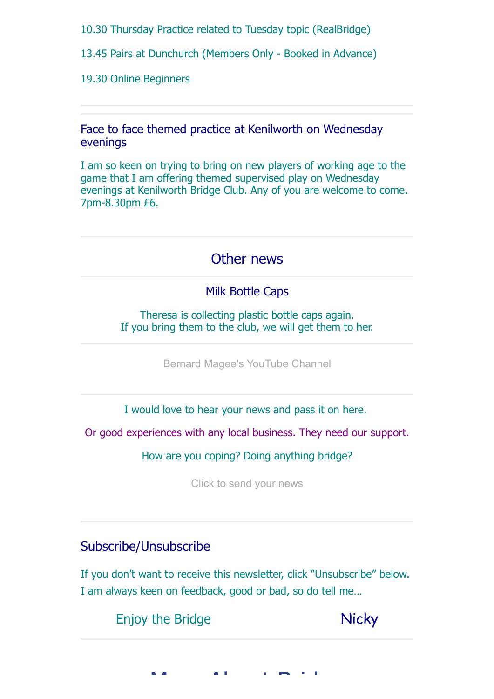10.30 Thursday Practice related to Tuesday topic (RealBridge)

13.45 Pairs at Dunchurch (Members Only - Booked in Advance)

19.30 Online Beginners

Face to face themed practice at Kenilworth on Wednesday evenings

I am so keen on trying to bring on new players of working age to the game that I am offering themed supervised play on Wednesday evenings at Kenilworth Bridge Club. Any of you are welcome to come. 7pm-8.30pm £6.

## Other news

#### Milk Bottle Caps

Theresa is collecting plastic bottle caps again. If you bring them to the club, we will get them to her.

[Bernard Magee's YouTube Channel](https://rugbyvillagebridge.us16.list-manage.com/track/click?u=5ca90c1560213b9616359b892&id=85106ed0fe&e=7736085cbd)

I would love to hear your news and pass it on here.

Or good experiences with any local business. They need our support.

How are you coping? Doing anything bridge?

[Click to send your news](mailto:rugbyvillagebridge@gmail.com?subject=My%20news)

#### Subscribe/Unsubscribe

If you don't want to receive this newsletter, click "Unsubscribe" below. I am always keen on feedback, good or bad, so do tell me…

Enjoy the Bridge Nicky

 $\mathbf{M}$  and  $\mathbf{M}$  is  $\mathbf{M}$